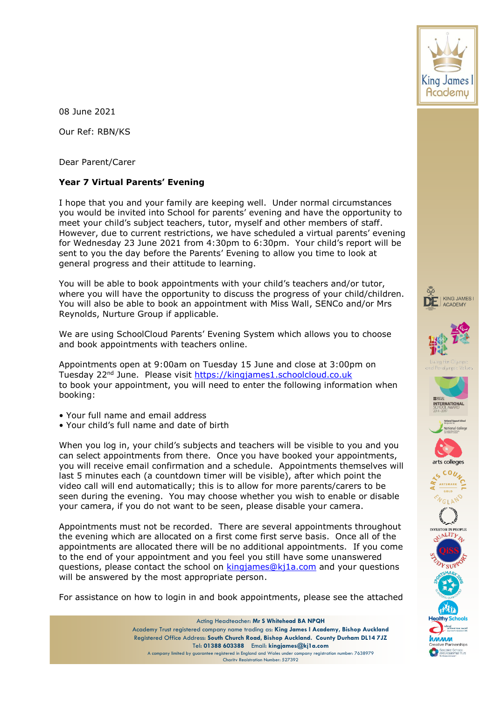

08 June 2021

Our Ref: RBN/KS

Dear Parent/Carer

## **Year 7 Virtual Parents' Evening**

I hope that you and your family are keeping well. Under normal circumstances you would be invited into School for parents' evening and have the opportunity to meet your child's subject teachers, tutor, myself and other members of staff. However, due to current restrictions, we have scheduled a virtual parents' evening for Wednesday 23 June 2021 from 4:30pm to 6:30pm. Your child's report will be sent to you the day before the Parents' Evening to allow you time to look at general progress and their attitude to learning.

You will be able to book appointments with your child's teachers and/or tutor, where you will have the opportunity to discuss the progress of your child/children. You will also be able to book an appointment with Miss Wall, SENCo and/or Mrs Reynolds, Nurture Group if applicable.

We are using SchoolCloud Parents' Evening System which allows you to choose and book appointments with teachers online.

Appointments open at 9:00am on Tuesday 15 June and close at 3:00pm on Tuesday 22nd June. Please visit [https://kingjames1.schoolcloud.co.uk](https://kingjames1.schoolcloud.co.uk/) to book your appointment, you will need to enter the following information when booking:

- Your full name and email address
- Your child's full name and date of birth

When you log in, your child's subjects and teachers will be visible to you and you can select appointments from there. Once you have booked your appointments, you will receive email confirmation and a schedule. Appointments themselves will last 5 minutes each (a countdown timer will be visible), after which point the video call will end automatically; this is to allow for more parents/carers to be seen during the evening. You may choose whether you wish to enable or disable your camera, if you do not want to be seen, please disable your camera.

Appointments must not be recorded. There are several appointments throughout the evening which are allocated on a first come first serve basis. Once all of the appointments are allocated there will be no additional appointments. If you come to the end of your appointment and you feel you still have some unanswered questions, please contact the school on [kingjames@kj1a.com](mailto:kingjames@kj1a.com) and your questions will be answered by the most appropriate person.

For assistance on how to login in and book appointments, please see the attached

Acting Headteacher: **Mr S Whitehead BA NPQH** Academy Trust registered company name trading as: **King James I Academy, Bishop Auckland** Registered Office Address: **South Church Road, Bishop Auckland. County Durham DL14 7JZ** Tel: **01388 603388** Email: **kingjames@kj1a.com** A company limited by guarantee registered in England and Wales under company registration number: 7638979 Charity Registration Number: 527392